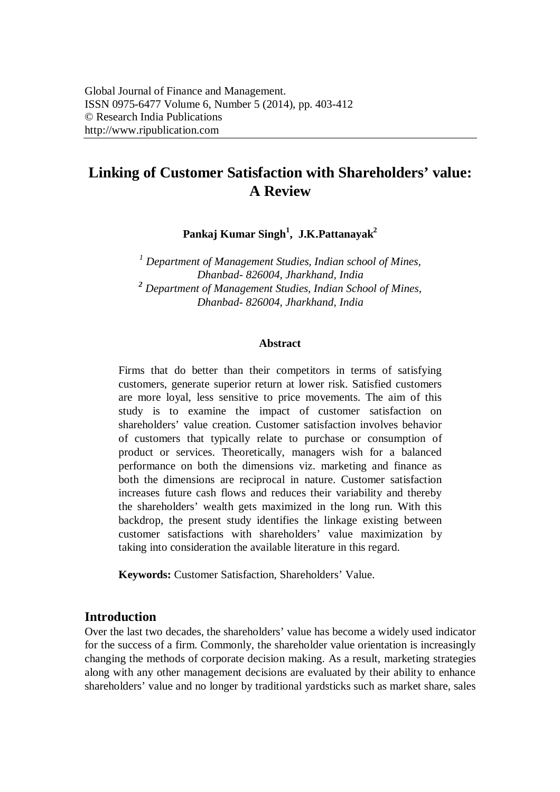# **Linking of Customer Satisfaction with Shareholders' value: A Review**

**Pankaj Kumar Singh<sup>1</sup> , J.K.Pattanayak<sup>2</sup>**

*<sup>1</sup> Department of Management Studies, Indian school of Mines, Dhanbad- 826004, Jharkhand, India <sup>2</sup> Department of Management Studies, Indian School of Mines, Dhanbad- 826004, Jharkhand, India*

#### **Abstract**

Firms that do better than their competitors in terms of satisfying customers, generate superior return at lower risk. Satisfied customers are more loyal, less sensitive to price movements. The aim of this study is to examine the impact of customer satisfaction on shareholders' value creation. Customer satisfaction involves behavior of customers that typically relate to purchase or consumption of product or services. Theoretically, managers wish for a balanced performance on both the dimensions viz. marketing and finance as both the dimensions are reciprocal in nature. Customer satisfaction increases future cash flows and reduces their variability and thereby the shareholders' wealth gets maximized in the long run. With this backdrop, the present study identifies the linkage existing between customer satisfactions with shareholders' value maximization by taking into consideration the available literature in this regard.

**Keywords:** Customer Satisfaction, Shareholders' Value.

## **Introduction**

Over the last two decades, the shareholders' value has become a widely used indicator for the success of a firm. Commonly, the shareholder value orientation is increasingly changing the methods of corporate decision making. As a result, marketing strategies along with any other management decisions are evaluated by their ability to enhance shareholders' value and no longer by traditional yardsticks such as market share, sales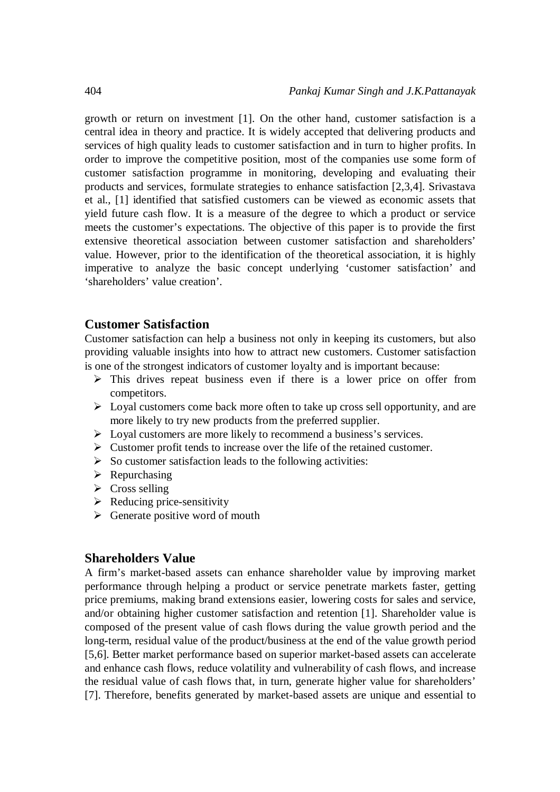growth or return on investment [1]. On the other hand, customer satisfaction is a central idea in theory and practice. It is widely accepted that delivering products and services of high quality leads to customer satisfaction and in turn to higher profits. In order to improve the competitive position, most of the companies use some form of customer satisfaction programme in monitoring, developing and evaluating their products and services, formulate strategies to enhance satisfaction [2,3,4]. Srivastava et al., [1] identified that satisfied customers can be viewed as economic assets that yield future cash flow. It is a measure of the degree to which a product or service meets the customer's expectations. The objective of this paper is to provide the first extensive theoretical association between customer satisfaction and shareholders' value. However, prior to the identification of the theoretical association, it is highly imperative to analyze the basic concept underlying 'customer satisfaction' and 'shareholders' value creation'.

## **Customer Satisfaction**

Customer satisfaction can help a business not only in keeping its customers, but also providing valuable insights into how to attract new customers. Customer satisfaction is one of the strongest indicators of customer loyalty and is important because:

- $\triangleright$  This drives repeat business even if there is a lower price on offer from competitors.
- $\triangleright$  Loyal customers come back more often to take up cross sell opportunity, and are more likely to try new products from the preferred supplier.
- $\triangleright$  Loyal customers are more likely to recommend a business's services.
- $\triangleright$  Customer profit tends to increase over the life of the retained customer.
- $\triangleright$  So customer satisfaction leads to the following activities:
- $\triangleright$  Repurchasing
- $\triangleright$  Cross selling
- $\triangleright$  Reducing price-sensitivity
- $\triangleright$  Generate positive word of mouth

#### **Shareholders Value**

A firm's market-based assets can enhance shareholder value by improving market performance through helping a product or service penetrate markets faster, getting price premiums, making brand extensions easier, lowering costs for sales and service, and/or obtaining higher customer satisfaction and retention [1]. Shareholder value is composed of the present value of cash flows during the value growth period and the long-term, residual value of the product/business at the end of the value growth period [5,6]. Better market performance based on superior market-based assets can accelerate and enhance cash flows, reduce volatility and vulnerability of cash flows, and increase the residual value of cash flows that, in turn, generate higher value for shareholders' [7]. Therefore, benefits generated by market-based assets are unique and essential to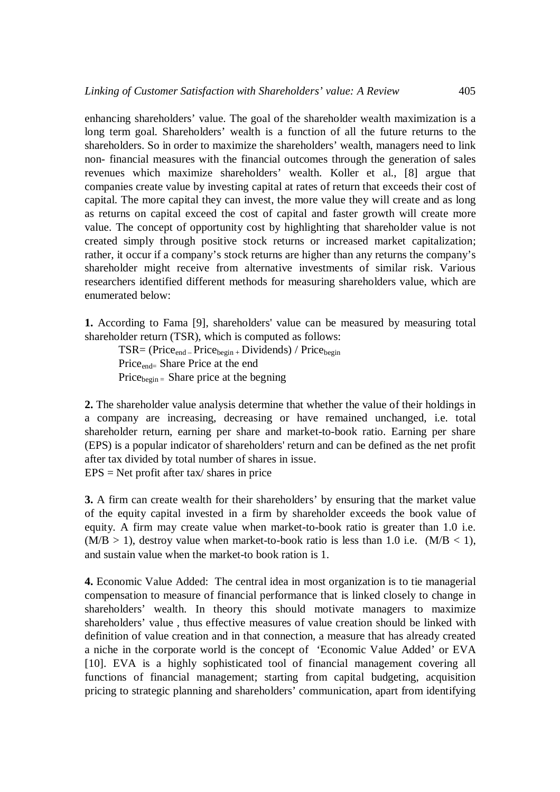enhancing shareholders' value. The goal of the shareholder wealth maximization is a long term goal. Shareholders' wealth is a function of all the future returns to the shareholders. So in order to maximize the shareholders' wealth, managers need to link non- financial measures with the financial outcomes through the generation of sales revenues which maximize shareholders' wealth. Koller et al., [8] argue that companies create value by investing capital at rates of return that exceeds their cost of capital. The more capital they can invest, the more value they will create and as long as returns on capital exceed the cost of capital and faster growth will create more value. The concept of opportunity cost by highlighting that shareholder value is not created simply through positive stock returns or increased market capitalization; rather, it occur if a company's stock returns are higher than any returns the company's shareholder might receive from alternative investments of similar risk. Various researchers identified different methods for measuring shareholders value, which are enumerated below:

**1.** According to Fama [9], shareholders' value can be measured by measuring total shareholder return (TSR), which is computed as follows:

 $TSR = (Price<sub>end</sub> - Price<sub>begin</sub> + Dividends) / Price<sub>begin</sub>$ Price<sub>end</sub> Share Price at the end Price $_{\text{begin}}$  = Share price at the begning

**2.** The shareholder value analysis determine that whether the value of their holdings in a company are increasing, decreasing or have remained unchanged, i.e. total shareholder return, earning per share and market-to-book ratio. Earning per share (EPS) is a popular indicator of shareholders' return and can be defined as the net profit after tax divided by total number of shares in issue.  $EPS = Net profit after tax/ shares in price$ 

**3.** A firm can create wealth for their shareholders' by ensuring that the market value of the equity capital invested in a firm by shareholder exceeds the book value of equity. A firm may create value when market-to-book ratio is greater than 1.0 i.e.  $(M/B > 1)$ , destroy value when market-to-book ratio is less than 1.0 i.e.  $(M/B < 1)$ , and sustain value when the market-to book ration is 1.

**4.** Economic Value Added: The central idea in most organization is to tie managerial compensation to measure of financial performance that is linked closely to change in shareholders' wealth. In theory this should motivate managers to maximize shareholders' value , thus effective measures of value creation should be linked with definition of value creation and in that connection, a measure that has already created a niche in the corporate world is the concept of 'Economic Value Added' or EVA [10]. EVA is a highly sophisticated tool of financial management covering all functions of financial management; starting from capital budgeting, acquisition pricing to strategic planning and shareholders' communication, apart from identifying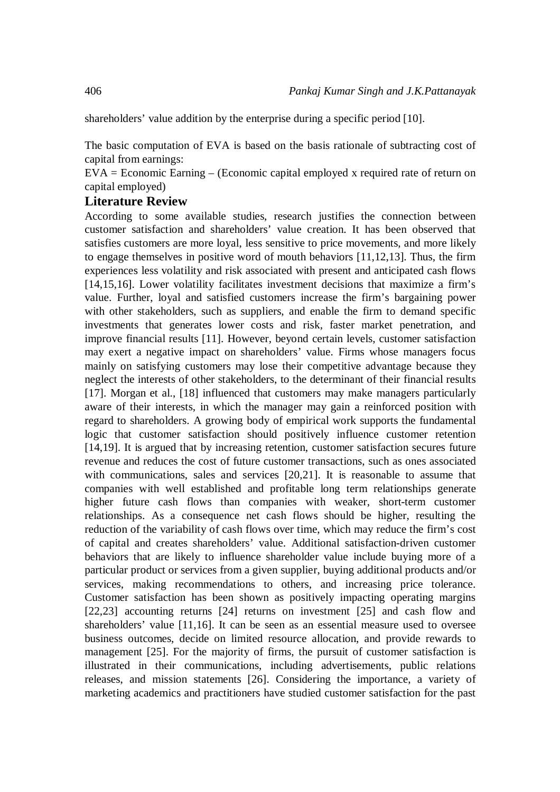shareholders' value addition by the enterprise during a specific period [10].

The basic computation of EVA is based on the basis rationale of subtracting cost of capital from earnings:

EVA = Economic Earning – (Economic capital employed x required rate of return on capital employed)

## **Literature Review**

According to some available studies, research justifies the connection between customer satisfaction and shareholders' value creation. It has been observed that satisfies customers are more loyal, less sensitive to price movements, and more likely to engage themselves in positive word of mouth behaviors [11,12,13]. Thus, the firm experiences less volatility and risk associated with present and anticipated cash flows [14,15,16]. Lower volatility facilitates investment decisions that maximize a firm's value. Further, loyal and satisfied customers increase the firm's bargaining power with other stakeholders, such as suppliers, and enable the firm to demand specific investments that generates lower costs and risk, faster market penetration, and improve financial results [11]. However, beyond certain levels, customer satisfaction may exert a negative impact on shareholders' value. Firms whose managers focus mainly on satisfying customers may lose their competitive advantage because they neglect the interests of other stakeholders, to the determinant of their financial results [17]. Morgan et al., [18] influenced that customers may make managers particularly aware of their interests, in which the manager may gain a reinforced position with regard to shareholders. A growing body of empirical work supports the fundamental logic that customer satisfaction should positively influence customer retention [14,19]. It is argued that by increasing retention, customer satisfaction secures future revenue and reduces the cost of future customer transactions, such as ones associated with communications, sales and services [20,21]. It is reasonable to assume that companies with well established and profitable long term relationships generate higher future cash flows than companies with weaker, short-term customer relationships. As a consequence net cash flows should be higher, resulting the reduction of the variability of cash flows over time, which may reduce the firm's cost of capital and creates shareholders' value. Additional satisfaction-driven customer behaviors that are likely to influence shareholder value include buying more of a particular product or services from a given supplier, buying additional products and/or services, making recommendations to others, and increasing price tolerance. Customer satisfaction has been shown as positively impacting operating margins [22,23] accounting returns [24] returns on investment [25] and cash flow and shareholders' value [11,16]. It can be seen as an essential measure used to oversee business outcomes, decide on limited resource allocation, and provide rewards to management [25]. For the majority of firms, the pursuit of customer satisfaction is illustrated in their communications, including advertisements, public relations releases, and mission statements [26]. Considering the importance, a variety of marketing academics and practitioners have studied customer satisfaction for the past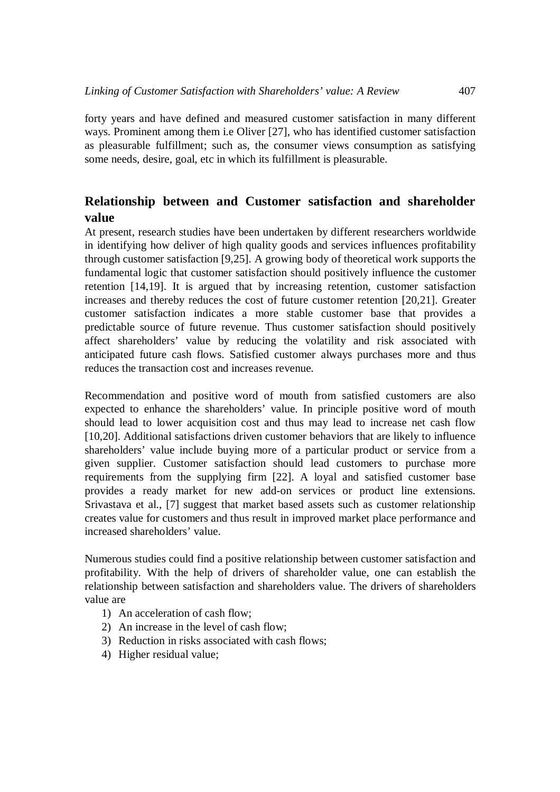forty years and have defined and measured customer satisfaction in many different ways. Prominent among them i.e Oliver [27], who has identified customer satisfaction as pleasurable fulfillment; such as, the consumer views consumption as satisfying some needs, desire, goal, etc in which its fulfillment is pleasurable.

## **Relationship between and Customer satisfaction and shareholder value**

At present, research studies have been undertaken by different researchers worldwide in identifying how deliver of high quality goods and services influences profitability through customer satisfaction [9,25]. A growing body of theoretical work supports the fundamental logic that customer satisfaction should positively influence the customer retention [14,19]. It is argued that by increasing retention, customer satisfaction increases and thereby reduces the cost of future customer retention [20,21]. Greater customer satisfaction indicates a more stable customer base that provides a predictable source of future revenue. Thus customer satisfaction should positively affect shareholders' value by reducing the volatility and risk associated with anticipated future cash flows. Satisfied customer always purchases more and thus reduces the transaction cost and increases revenue.

Recommendation and positive word of mouth from satisfied customers are also expected to enhance the shareholders' value. In principle positive word of mouth should lead to lower acquisition cost and thus may lead to increase net cash flow [10,20]. Additional satisfactions driven customer behaviors that are likely to influence shareholders' value include buying more of a particular product or service from a given supplier. Customer satisfaction should lead customers to purchase more requirements from the supplying firm [22]. A loyal and satisfied customer base provides a ready market for new add-on services or product line extensions. Srivastava et al., [7] suggest that market based assets such as customer relationship creates value for customers and thus result in improved market place performance and increased shareholders' value.

Numerous studies could find a positive relationship between customer satisfaction and profitability. With the help of drivers of shareholder value, one can establish the relationship between satisfaction and shareholders value. The drivers of shareholders value are

- 1) An acceleration of cash flow;
- 2) An increase in the level of cash flow;
- 3) Reduction in risks associated with cash flows;
- 4) Higher residual value;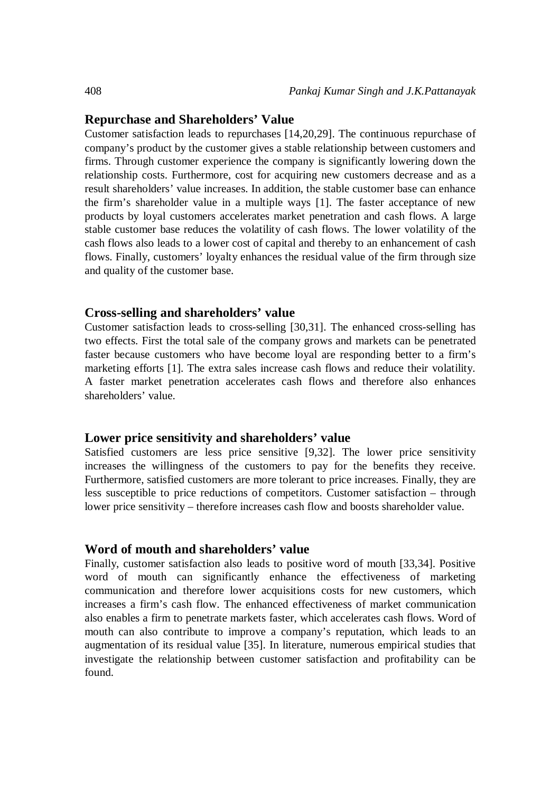#### **Repurchase and Shareholders' Value**

Customer satisfaction leads to repurchases [14,20,29]. The continuous repurchase of company's product by the customer gives a stable relationship between customers and firms. Through customer experience the company is significantly lowering down the relationship costs. Furthermore, cost for acquiring new customers decrease and as a result shareholders' value increases. In addition, the stable customer base can enhance the firm's shareholder value in a multiple ways [1]. The faster acceptance of new products by loyal customers accelerates market penetration and cash flows. A large stable customer base reduces the volatility of cash flows. The lower volatility of the cash flows also leads to a lower cost of capital and thereby to an enhancement of cash flows. Finally, customers' loyalty enhances the residual value of the firm through size and quality of the customer base.

#### **Cross-selling and shareholders' value**

Customer satisfaction leads to cross-selling [30,31]. The enhanced cross-selling has two effects. First the total sale of the company grows and markets can be penetrated faster because customers who have become loyal are responding better to a firm's marketing efforts [1]. The extra sales increase cash flows and reduce their volatility. A faster market penetration accelerates cash flows and therefore also enhances shareholders' value.

#### **Lower price sensitivity and shareholders' value**

Satisfied customers are less price sensitive [9,32]. The lower price sensitivity increases the willingness of the customers to pay for the benefits they receive. Furthermore, satisfied customers are more tolerant to price increases. Finally, they are less susceptible to price reductions of competitors. Customer satisfaction – through lower price sensitivity – therefore increases cash flow and boosts shareholder value.

#### **Word of mouth and shareholders' value**

Finally, customer satisfaction also leads to positive word of mouth [33,34]. Positive word of mouth can significantly enhance the effectiveness of marketing communication and therefore lower acquisitions costs for new customers, which increases a firm's cash flow. The enhanced effectiveness of market communication also enables a firm to penetrate markets faster, which accelerates cash flows. Word of mouth can also contribute to improve a company's reputation, which leads to an augmentation of its residual value [35]. In literature, numerous empirical studies that investigate the relationship between customer satisfaction and profitability can be found.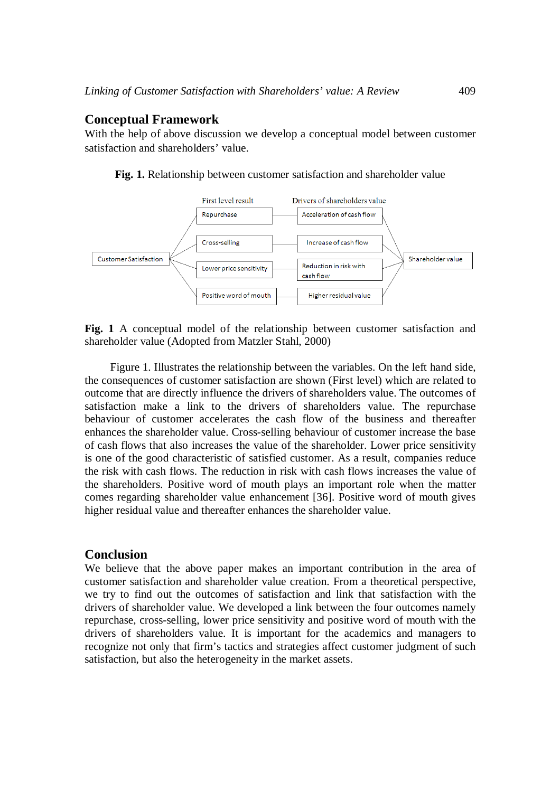#### **Conceptual Framework**

With the help of above discussion we develop a conceptual model between customer satisfaction and shareholders' value.



**Fig. 1.** Relationship between customer satisfaction and shareholder value

**Fig. 1** A conceptual model of the relationship between customer satisfaction and shareholder value (Adopted from Matzler Stahl, 2000)

Figure 1. Illustrates the relationship between the variables. On the left hand side, the consequences of customer satisfaction are shown (First level) which are related to outcome that are directly influence the drivers of shareholders value. The outcomes of satisfaction make a link to the drivers of shareholders value. The repurchase behaviour of customer accelerates the cash flow of the business and thereafter enhances the shareholder value. Cross-selling behaviour of customer increase the base of cash flows that also increases the value of the shareholder. Lower price sensitivity is one of the good characteristic of satisfied customer. As a result, companies reduce the risk with cash flows. The reduction in risk with cash flows increases the value of the shareholders. Positive word of mouth plays an important role when the matter comes regarding shareholder value enhancement [36]. Positive word of mouth gives higher residual value and thereafter enhances the shareholder value.

#### **Conclusion**

We believe that the above paper makes an important contribution in the area of customer satisfaction and shareholder value creation. From a theoretical perspective, we try to find out the outcomes of satisfaction and link that satisfaction with the drivers of shareholder value. We developed a link between the four outcomes namely repurchase, cross-selling, lower price sensitivity and positive word of mouth with the drivers of shareholders value. It is important for the academics and managers to recognize not only that firm's tactics and strategies affect customer judgment of such satisfaction, but also the heterogeneity in the market assets.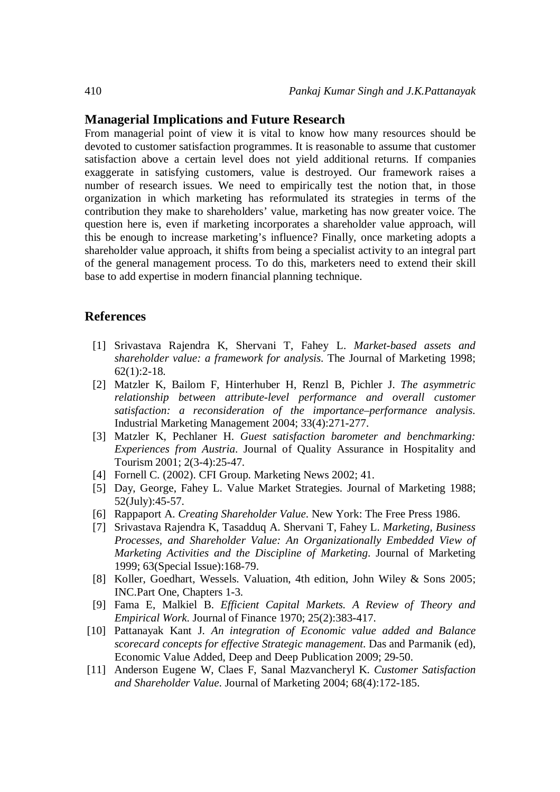#### **Managerial Implications and Future Research**

From managerial point of view it is vital to know how many resources should be devoted to customer satisfaction programmes. It is reasonable to assume that customer satisfaction above a certain level does not yield additional returns. If companies exaggerate in satisfying customers, value is destroyed. Our framework raises a number of research issues. We need to empirically test the notion that, in those organization in which marketing has reformulated its strategies in terms of the contribution they make to shareholders' value, marketing has now greater voice. The question here is, even if marketing incorporates a shareholder value approach, will this be enough to increase marketing's influence? Finally, once marketing adopts a shareholder value approach, it shifts from being a specialist activity to an integral part of the general management process. To do this, marketers need to extend their skill base to add expertise in modern financial planning technique.

#### **References**

- [1] Srivastava Rajendra K, Shervani T, Fahey L. *Market-based assets and shareholder value: a framework for analysis*. The Journal of Marketing 1998;  $62(1):2-18.$
- [2] Matzler K, Bailom F, Hinterhuber H, Renzl B, Pichler J. *The asymmetric relationship between attribute-level performance and overall customer satisfaction: a reconsideration of the importance–performance analysis*. Industrial Marketing Management 2004; 33(4):271-277.
- [3] Matzler K, Pechlaner H. *Guest satisfaction barometer and benchmarking: Experiences from Austria*. Journal of Quality Assurance in Hospitality and Tourism 2001; 2(3-4):25-47.
- [4] Fornell C. (2002). CFI Group. Marketing News 2002; 41.
- [5] Day, George, Fahey L. Value Market Strategies. Journal of Marketing 1988; 52(July):45-57.
- [6] Rappaport A. *Creating Shareholder Value*. New York: The Free Press 1986.
- [7] Srivastava Rajendra K, Tasadduq A. Shervani T, Fahey L. *Marketing, Business Processes, and Shareholder Value: An Organizationally Embedded View of Marketing Activities and the Discipline of Marketing*. Journal of Marketing 1999; 63(Special Issue):168-79.
- [8] Koller, Goedhart, Wessels. Valuation, 4th edition, John Wiley & Sons 2005; INC.Part One, Chapters 1-3.
- [9] Fama E, Malkiel B. *Efficient Capital Markets. A Review of Theory and Empirical Work*. Journal of Finance 1970; 25(2):383-417.
- [10] Pattanayak Kant J. *An integration of Economic value added and Balance scorecard concepts for effective Strategic management*. Das and Parmanik (ed), Economic Value Added, Deep and Deep Publication 2009; 29-50.
- [11] Anderson Eugene W, Claes F, Sanal Mazvancheryl K. *Customer Satisfaction and Shareholder Value*. Journal of Marketing 2004; 68(4):172-185.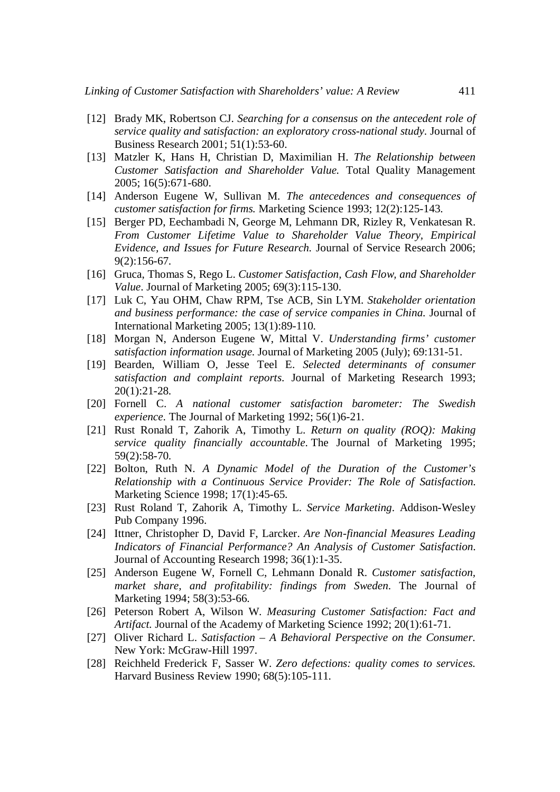- [12] Brady MK, Robertson CJ. *Searching for a consensus on the antecedent role of service quality and satisfaction: an exploratory cross-national study*. Journal of Business Research 2001; 51(1):53-60.
- [13] Matzler K, Hans H, Christian D, Maximilian H. *The Relationship between Customer Satisfaction and Shareholder Value.* Total Quality Management 2005; 16(5):671-680.
- [14] Anderson Eugene W, Sullivan M. *The antecedences and consequences of customer satisfaction for firms.* Marketing Science 1993; 12(2):125-143.
- [15] Berger PD, Eechambadi N, George M, Lehmann DR, Rizley R, Venkatesan R. *From Customer Lifetime Value to Shareholder Value Theory, Empirical Evidence, and Issues for Future Research.* Journal of Service Research 2006; 9(2):156-67.
- [16] Gruca, Thomas S, Rego L. *Customer Satisfaction, Cash Flow, and Shareholder Value*. Journal of Marketing 2005; 69(3):115-130.
- [17] Luk C, Yau OHM, Chaw RPM, Tse ACB, Sin LYM. *Stakeholder orientation and business performance: the case of service companies in China.* Journal of International Marketing 2005; 13(1):89-110.
- [18] Morgan N, Anderson Eugene W, Mittal V. *Understanding firms' customer satisfaction information usage.* Journal of Marketing 2005 (July); 69:131-51.
- [19] Bearden, William O, Jesse Teel E. *Selected determinants of consumer satisfaction and complaint reports*. Journal of Marketing Research 1993; 20(1):21-28.
- [20] Fornell C. *A national customer satisfaction barometer: The Swedish experience*. The Journal of Marketing 1992; 56(1)6-21.
- [21] Rust Ronald T, Zahorik A, Timothy L. *Return on quality (ROQ): Making service quality financially accountable*. The Journal of Marketing 1995; 59(2):58-70.
- [22] Bolton, Ruth N. *A Dynamic Model of the Duration of the Customer's Relationship with a Continuous Service Provider: The Role of Satisfaction*. Marketing Science 1998; 17(1):45-65.
- [23] Rust Roland T, Zahorik A, Timothy L. *Service Marketing*. Addison-Wesley Pub Company 1996.
- [24] Ittner, Christopher D, David F, Larcker. *Are Non-financial Measures Leading Indicators of Financial Performance? An Analysis of Customer Satisfaction*. Journal of Accounting Research 1998; 36(1):1-35.
- [25] Anderson Eugene W, Fornell C, Lehmann Donald R. *Customer satisfaction, market share, and profitability: findings from Sweden*. The Journal of Marketing 1994; 58(3):53-66.
- [26] Peterson Robert A, Wilson W. *Measuring Customer Satisfaction: Fact and Artifact*. Journal of the Academy of Marketing Science 1992; 20(1):61-71.
- [27] Oliver Richard L. *Satisfaction – A Behavioral Perspective on the Consumer*. New York: McGraw-Hill 1997.
- [28] Reichheld Frederick F, Sasser W. *Zero defections: quality comes to services*. Harvard Business Review 1990; 68(5):105-111.